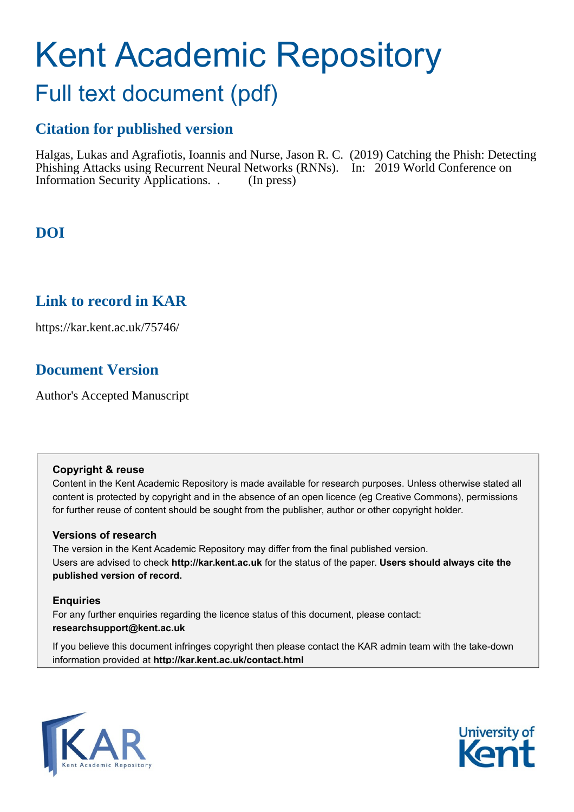# Kent Academic Repository

## Full text document (pdf)

## **Citation for published version**

Halgas, Lukas and Agrafiotis, Ioannis and Nurse, Jason R. C. (2019) Catching the Phish: Detecting Phishing Attacks using Recurrent Neural Networks (RNNs). In: 2019 World Conference on Information Security Applications. . (In press)

## **DOI**

## **Link to record in KAR**

https://kar.kent.ac.uk/75746/

## **Document Version**

Author's Accepted Manuscript

#### **Copyright & reuse**

Content in the Kent Academic Repository is made available for research purposes. Unless otherwise stated all content is protected by copyright and in the absence of an open licence (eg Creative Commons), permissions for further reuse of content should be sought from the publisher, author or other copyright holder.

#### **Versions of research**

The version in the Kent Academic Repository may differ from the final published version. Users are advised to check **http://kar.kent.ac.uk** for the status of the paper. **Users should always cite the published version of record.**

#### **Enquiries**

For any further enquiries regarding the licence status of this document, please contact: **researchsupport@kent.ac.uk**

If you believe this document infringes copyright then please contact the KAR admin team with the take-down information provided at **http://kar.kent.ac.uk/contact.html**



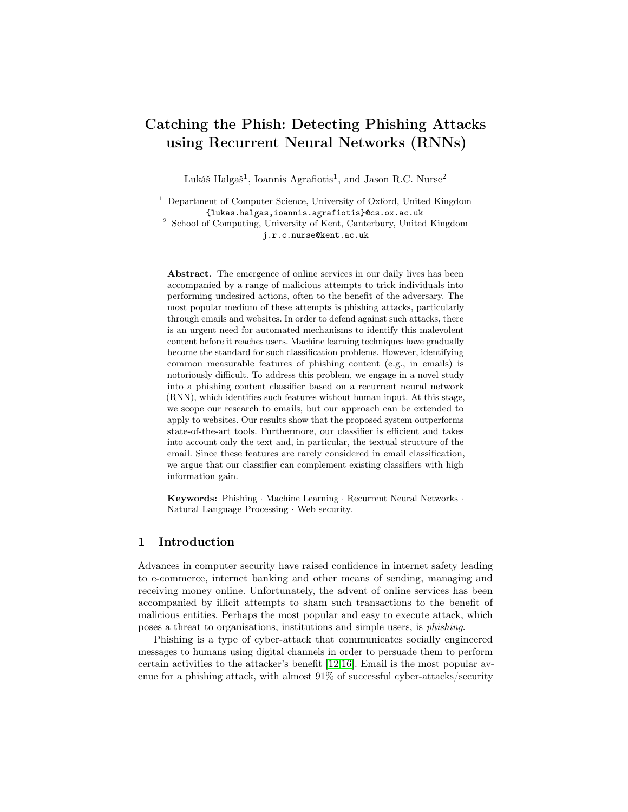### Catching the Phish: Detecting Phishing Attacks using Recurrent Neural Networks (RNNs)

Lukáš Halgaš<sup>1</sup>, Ioannis Agrafiotis<sup>1</sup>, and Jason R.C. Nurse<sup>2</sup>

<sup>1</sup> Department of Computer Science, University of Oxford, United Kingdom {lukas.halgas,ioannis.agrafiotis}@cs.ox.ac.uk

<sup>2</sup> School of Computing, University of Kent, Canterbury, United Kingdom j.r.c.nurse@kent.ac.uk

Abstract. The emergence of online services in our daily lives has been accompanied by a range of malicious attempts to trick individuals into performing undesired actions, often to the benefit of the adversary. The most popular medium of these attempts is phishing attacks, particularly through emails and websites. In order to defend against such attacks, there is an urgent need for automated mechanisms to identify this malevolent content before it reaches users. Machine learning techniques have gradually become the standard for such classification problems. However, identifying common measurable features of phishing content (e.g., in emails) is notoriously difficult. To address this problem, we engage in a novel study into a phishing content classifier based on a recurrent neural network (RNN), which identifies such features without human input. At this stage, we scope our research to emails, but our approach can be extended to apply to websites. Our results show that the proposed system outperforms state-of-the-art tools. Furthermore, our classifier is efficient and takes into account only the text and, in particular, the textual structure of the email. Since these features are rarely considered in email classification, we argue that our classifier can complement existing classifiers with high information gain.

Keywords: Phishing · Machine Learning · Recurrent Neural Networks · Natural Language Processing · Web security.

#### 1 Introduction

Advances in computer security have raised confidence in internet safety leading to e-commerce, internet banking and other means of sending, managing and receiving money online. Unfortunately, the advent of online services has been accompanied by illicit attempts to sham such transactions to the benefit of malicious entities. Perhaps the most popular and easy to execute attack, which poses a threat to organisations, institutions and simple users, is phishing.

Phishing is a type of cyber-attack that communicates socially engineered messages to humans using digital channels in order to persuade them to perform certain activities to the attacker's benefit [12,16]. Email is the most popular avenue for a phishing attack, with almost 91% of successful cyber-attacks/security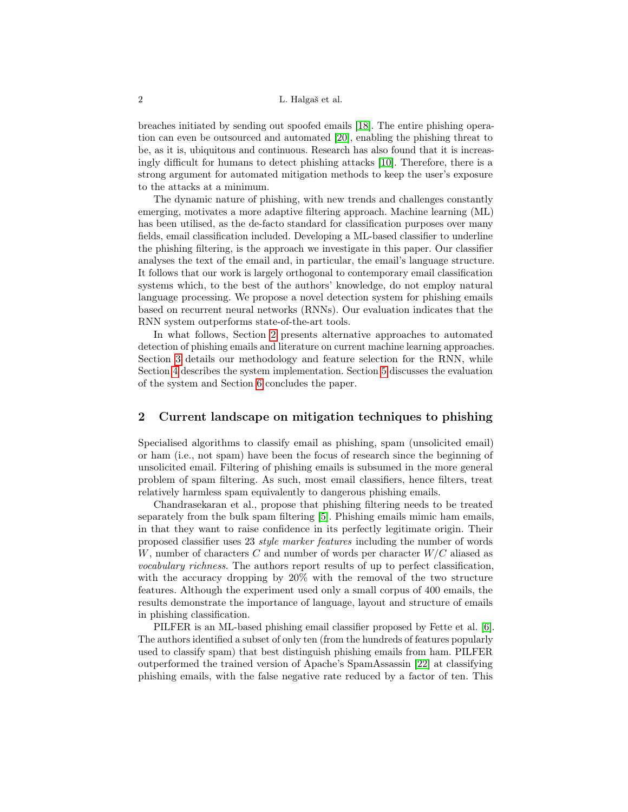#### 2 L. Halgaš et al.

breaches initiated by sending out spoofed emails [18]. The entire phishing operation can even be outsourced and automated [20], enabling the phishing threat to be, as it is, ubiquitous and continuous. Research has also found that it is increasingly difficult for humans to detect phishing attacks [10]. Therefore, there is a strong argument for automated mitigation methods to keep the user's exposure to the attacks at a minimum.

The dynamic nature of phishing, with new trends and challenges constantly emerging, motivates a more adaptive filtering approach. Machine learning (ML) has been utilised, as the de-facto standard for classification purposes over many fields, email classification included. Developing a ML-based classifier to underline the phishing filtering, is the approach we investigate in this paper. Our classifier analyses the text of the email and, in particular, the email's language structure. It follows that our work is largely orthogonal to contemporary email classification systems which, to the best of the authors' knowledge, do not employ natural language processing. We propose a novel detection system for phishing emails based on recurrent neural networks (RNNs). Our evaluation indicates that the RNN system outperforms state-of-the-art tools.

In what follows, Section 2 presents alternative approaches to automated detection of phishing emails and literature on current machine learning approaches. Section 3 details our methodology and feature selection for the RNN, while Section 4 describes the system implementation. Section 5 discusses the evaluation of the system and Section 6 concludes the paper.

#### 2 Current landscape on mitigation techniques to phishing

Specialised algorithms to classify email as phishing, spam (unsolicited email) or ham (i.e., not spam) have been the focus of research since the beginning of unsolicited email. Filtering of phishing emails is subsumed in the more general problem of spam filtering. As such, most email classifiers, hence filters, treat relatively harmless spam equivalently to dangerous phishing emails.

Chandrasekaran et al., propose that phishing filtering needs to be treated separately from the bulk spam filtering [5]. Phishing emails mimic ham emails, in that they want to raise confidence in its perfectly legitimate origin. Their proposed classifier uses 23 style marker features including the number of words W, number of characters C and number of words per character  $W/C$  aliased as vocabulary richness. The authors report results of up to perfect classification, with the accuracy dropping by 20% with the removal of the two structure features. Although the experiment used only a small corpus of 400 emails, the results demonstrate the importance of language, layout and structure of emails in phishing classification.

PILFER is an ML-based phishing email classifier proposed by Fette et al. [6]. The authors identified a subset of only ten (from the hundreds of features popularly used to classify spam) that best distinguish phishing emails from ham. PILFER outperformed the trained version of Apache's SpamAssassin [22] at classifying phishing emails, with the false negative rate reduced by a factor of ten. This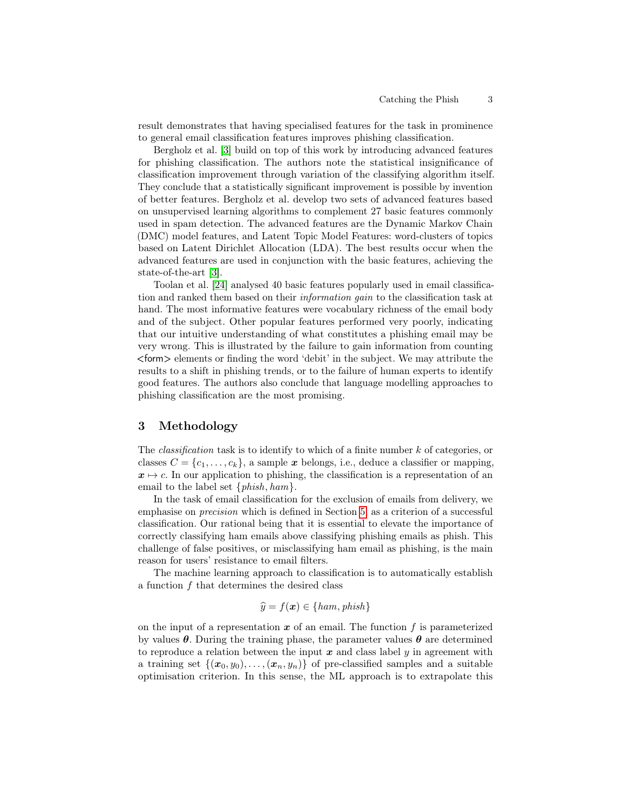result demonstrates that having specialised features for the task in prominence to general email classification features improves phishing classification.

Bergholz et al. [3] build on top of this work by introducing advanced features for phishing classification. The authors note the statistical insignificance of classification improvement through variation of the classifying algorithm itself. They conclude that a statistically significant improvement is possible by invention of better features. Bergholz et al. develop two sets of advanced features based on unsupervised learning algorithms to complement 27 basic features commonly used in spam detection. The advanced features are the Dynamic Markov Chain (DMC) model features, and Latent Topic Model Features: word-clusters of topics based on Latent Dirichlet Allocation (LDA). The best results occur when the advanced features are used in conjunction with the basic features, achieving the state-of-the-art [3].

Toolan et al. [24] analysed 40 basic features popularly used in email classification and ranked them based on their information gain to the classification task at hand. The most informative features were vocabulary richness of the email body and of the subject. Other popular features performed very poorly, indicating that our intuitive understanding of what constitutes a phishing email may be very wrong. This is illustrated by the failure to gain information from counting <form> elements or finding the word 'debit' in the subject. We may attribute the results to a shift in phishing trends, or to the failure of human experts to identify good features. The authors also conclude that language modelling approaches to phishing classification are the most promising.

#### 3 Methodology

The *classification* task is to identify to which of a finite number  $k$  of categories, or classes  $C = \{c_1, \ldots, c_k\}$ , a sample x belongs, i.e., deduce a classifier or mapping,  $x \mapsto c$ . In our application to phishing, the classification is a representation of an email to the label set  $\{phish, ham\}$ .

In the task of email classification for the exclusion of emails from delivery, we emphasise on precision which is defined in Section 5, as a criterion of a successful classification. Our rational being that it is essential to elevate the importance of correctly classifying ham emails above classifying phishing emails as phish. This challenge of false positives, or misclassifying ham email as phishing, is the main reason for users' resistance to email filters.

The machine learning approach to classification is to automatically establish a function f that determines the desired class

$$
\widehat{y} = f(\boldsymbol{x}) \in \{ham, \, \text{phish}\}
$$

on the input of a representation  $x$  of an email. The function f is parameterized by values  $\theta$ . During the training phase, the parameter values  $\theta$  are determined to reproduce a relation between the input  $x$  and class label  $y$  in agreement with a training set  $\{(x_0, y_0), \ldots, (x_n, y_n)\}\$  of pre-classified samples and a suitable optimisation criterion. In this sense, the ML approach is to extrapolate this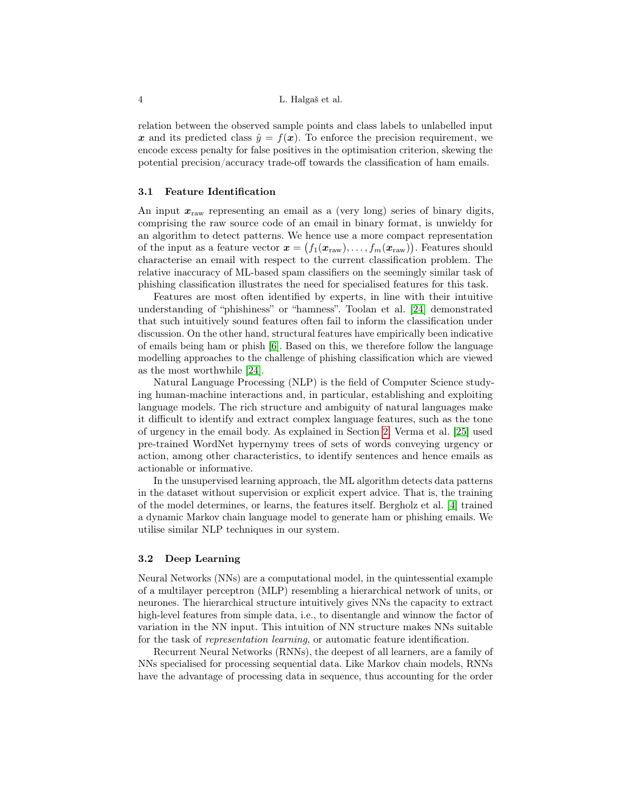relation between the observed sample points and class labels to unlabelled input x and its predicted class  $\hat{y} = f(x)$ . To enforce the precision requirement, we encode excess penalty for false positives in the optimisation criterion, skewing the potential precision/accuracy trade-off towards the classification of ham emails.

#### 3.1 Feature Identification

An input  $x_{\text{raw}}$  representing an email as a (very long) series of binary digits, comprising the raw source code of an email in binary format, is unwieldy for an algorithm to detect patterns. We hence use a more compact representation of the input as a feature vector  $\mathbf{x} = (f_1(\mathbf{x}_{\text{raw}}), \dots, f_m(\mathbf{x}_{\text{raw}}))$ . Features should characterise an email with respect to the current classification problem. The relative inaccuracy of ML-based spam classifiers on the seemingly similar task of phishing classification illustrates the need for specialised features for this task.

Features are most often identified by experts, in line with their intuitive understanding of "phishiness" or "hamness". Toolan et al. [24] demonstrated that such intuitively sound features often fail to inform the classification under discussion. On the other hand, structural features have empirically been indicative of emails being ham or phish [6]. Based on this, we therefore follow the language modelling approaches to the challenge of phishing classification which are viewed as the most worthwhile [24].

Natural Language Processing (NLP) is the field of Computer Science studying human-machine interactions and, in particular, establishing and exploiting language models. The rich structure and ambiguity of natural languages make it difficult to identify and extract complex language features, such as the tone of urgency in the email body. As explained in Section 2, Verma et al. [25] used pre-trained WordNet hypernymy trees of sets of words conveying urgency or action, among other characteristics, to identify sentences and hence emails as actionable or informative.

In the unsupervised learning approach, the ML algorithm detects data patterns in the dataset without supervision or explicit expert advice. That is, the training of the model determines, or learns, the features itself. Bergholz et al. [4] trained a dynamic Markov chain language model to generate ham or phishing emails. We utilise similar NLP techniques in our system.

#### 3.2 Deep Learning

Neural Networks (NNs) are a computational model, in the quintessential example of a multilayer perceptron (MLP) resembling a hierarchical network of units, or neurones. The hierarchical structure intuitively gives NNs the capacity to extract high-level features from simple data, i.e., to disentangle and winnow the factor of variation in the NN input. This intuition of NN structure makes NNs suitable for the task of representation learning, or automatic feature identification.

Recurrent Neural Networks (RNNs), the deepest of all learners, are a family of NNs specialised for processing sequential data. Like Markov chain models, RNNs have the advantage of processing data in sequence, thus accounting for the order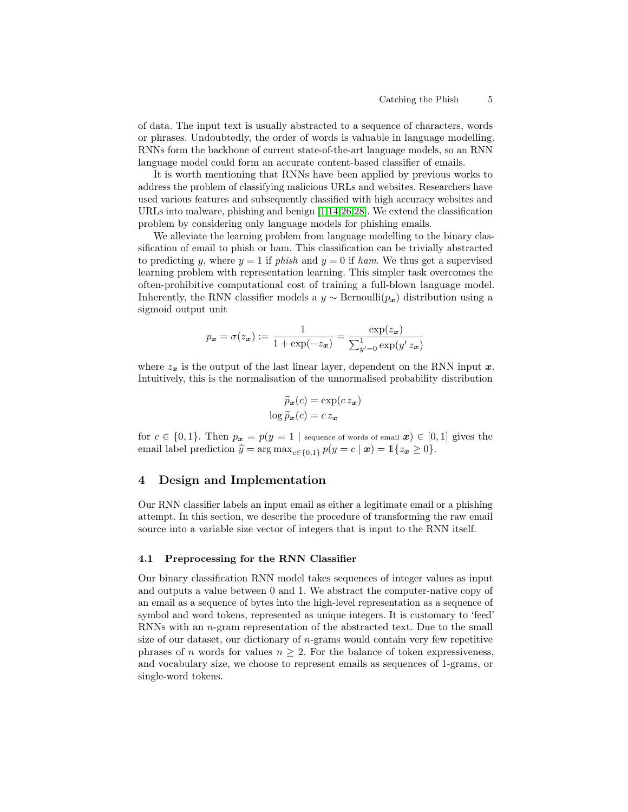of data. The input text is usually abstracted to a sequence of characters, words or phrases. Undoubtedly, the order of words is valuable in language modelling. RNNs form the backbone of current state-of-the-art language models, so an RNN language model could form an accurate content-based classifier of emails.

It is worth mentioning that RNNs have been applied by previous works to address the problem of classifying malicious URLs and websites. Researchers have used various features and subsequently classified with high accuracy websites and URLs into malware, phishing and benign [1,14,26,28]. We extend the classification problem by considering only language models for phishing emails.

We alleviate the learning problem from language modelling to the binary classification of email to phish or ham. This classification can be trivially abstracted to predicting y, where  $y = 1$  if phish and  $y = 0$  if ham. We thus get a supervised learning problem with representation learning. This simpler task overcomes the often-prohibitive computational cost of training a full-blown language model. Inherently, the RNN classifier models a  $y \sim \text{Bernoulli}(p_x)$  distribution using a sigmoid output unit

$$
p_{\boldsymbol{x}} = \sigma(z_{\boldsymbol{x}}) := \frac{1}{1 + \exp(-z_{\boldsymbol{x}})} = \frac{\exp(z_{\boldsymbol{x}})}{\sum_{y'=0}^{1} \exp(y' z_{\boldsymbol{x}})}
$$

where  $z_x$  is the output of the last linear layer, dependent on the RNN input x. Intuitively, this is the normalisation of the unnormalised probability distribution

$$
\widetilde{p}_{\mathbf{x}}(c) = \exp(c \, z_{\mathbf{x}})
$$

$$
\log \widetilde{p}_{\mathbf{x}}(c) = c \, z_{\mathbf{x}}
$$

for  $c \in \{0,1\}$ . Then  $p_x = p(y = 1 \mid \text{sequence of words of email } x) \in [0,1]$  gives the email label prediction  $\hat{y} = \arg \max_{c \in \{0,1\}} p(y = c | \mathbf{x}) = \mathbb{1}\{z_{\mathbf{x}} \geq 0\}.$ 

#### 4 Design and Implementation

Our RNN classifier labels an input email as either a legitimate email or a phishing attempt. In this section, we describe the procedure of transforming the raw email source into a variable size vector of integers that is input to the RNN itself.

#### 4.1 Preprocessing for the RNN Classifier

Our binary classification RNN model takes sequences of integer values as input and outputs a value between 0 and 1. We abstract the computer-native copy of an email as a sequence of bytes into the high-level representation as a sequence of symbol and word tokens, represented as unique integers. It is customary to 'feed' RNNs with an n-gram representation of the abstracted text. Due to the small size of our dataset, our dictionary of  $n$ -grams would contain very few repetitive phrases of n words for values  $n > 2$ . For the balance of token expressiveness, and vocabulary size, we choose to represent emails as sequences of 1-grams, or single-word tokens.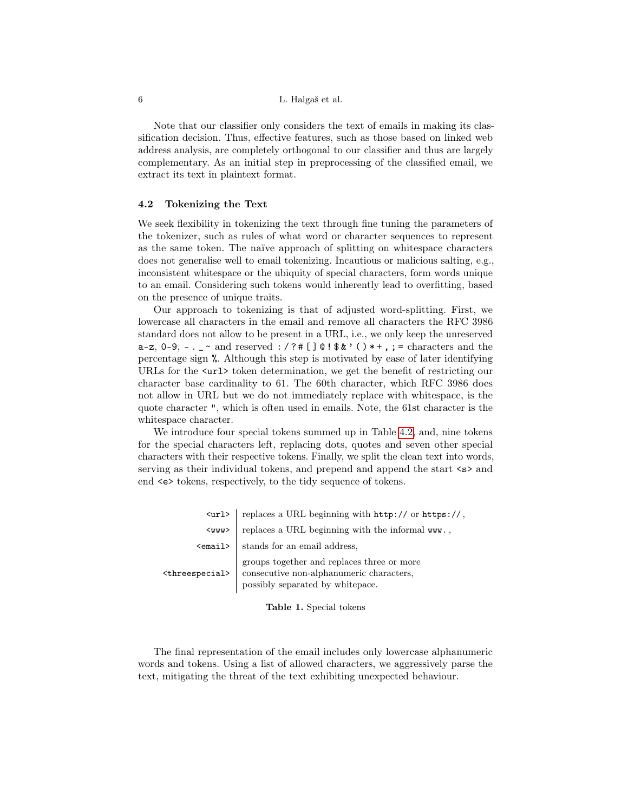Note that our classifier only considers the text of emails in making its classification decision. Thus, effective features, such as those based on linked web address analysis, are completely orthogonal to our classifier and thus are largely complementary. As an initial step in preprocessing of the classified email, we extract its text in plaintext format.

#### 4.2 Tokenizing the Text

We seek flexibility in tokenizing the text through fine tuning the parameters of the tokenizer, such as rules of what word or character sequences to represent as the same token. The naïve approach of splitting on whitespace characters does not generalise well to email tokenizing. Incautious or malicious salting, e.g., inconsistent whitespace or the ubiquity of special characters, form words unique to an email. Considering such tokens would inherently lead to overfitting, based on the presence of unique traits.

Our approach to tokenizing is that of adjusted word-splitting. First, we lowercase all characters in the email and remove all characters the RFC 3986 standard does not allow to be present in a URL, i.e., we only keep the unreserved a-z,  $0-9$ ,  $-$ .  $\sim$  and reserved :  $/ ?$  # []  $0 !$  \$ &  $' ()$  + +, ; = characters and the percentage sign %. Although this step is motivated by ease of later identifying URLs for the  $\text{curl}$  token determination, we get the benefit of restricting our character base cardinality to 61. The 60th character, which RFC 3986 does not allow in URL but we do not immediately replace with whitespace, is the quote character ", which is often used in emails. Note, the 61st character is the whitespace character.

We introduce four special tokens summed up in Table 4.2, and, nine tokens for the special characters left, replacing dots, quotes and seven other special characters with their respective tokens. Finally, we split the clean text into words, serving as their individual tokens, and prepend and append the start  $\langle s \rangle$  and end <e> tokens, respectively, to the tidy sequence of tokens.

|                               | <url>   replaces a URL beginning with http:// or https://,</url>                                                                     |  |  |  |  |
|-------------------------------|--------------------------------------------------------------------------------------------------------------------------------------|--|--|--|--|
| $<$ ww $>$                    | replaces a URL beginning with the informal ${\tt www.,}$                                                                             |  |  |  |  |
|                               | <email>   stands for an email address,</email>                                                                                       |  |  |  |  |
| <threespecial></threespecial> | $\,$ groups together and replaces three or more<br>$\,$ consecutive non-alphanumeric characters,<br>possibly separated by whitepace. |  |  |  |  |

Table 1. Special tokens

The final representation of the email includes only lowercase alphanumeric words and tokens. Using a list of allowed characters, we aggressively parse the text, mitigating the threat of the text exhibiting unexpected behaviour.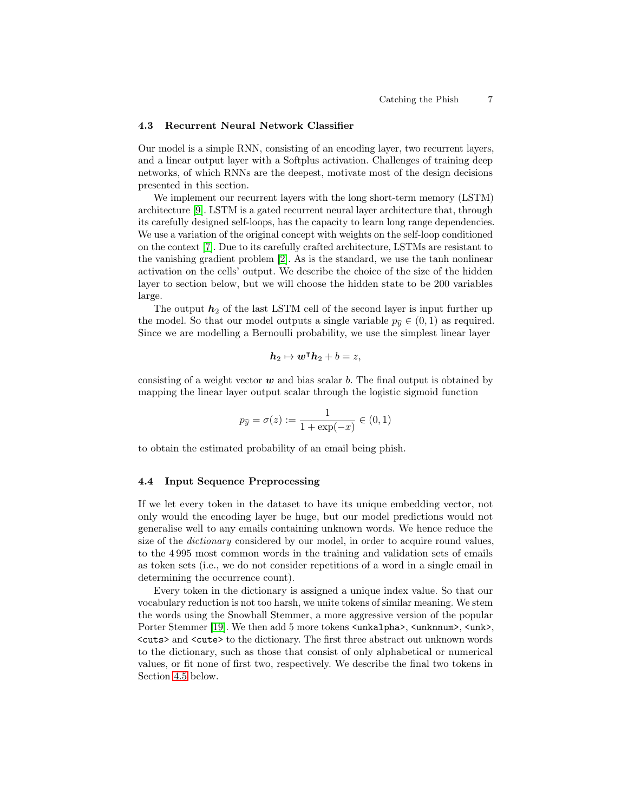#### 4.3 Recurrent Neural Network Classifier

Our model is a simple RNN, consisting of an encoding layer, two recurrent layers, and a linear output layer with a Softplus activation. Challenges of training deep networks, of which RNNs are the deepest, motivate most of the design decisions presented in this section.

We implement our recurrent layers with the long short-term memory (LSTM) architecture [9]. LSTM is a gated recurrent neural layer architecture that, through its carefully designed self-loops, has the capacity to learn long range dependencies. We use a variation of the original concept with weights on the self-loop conditioned on the context [7]. Due to its carefully crafted architecture, LSTMs are resistant to the vanishing gradient problem [2]. As is the standard, we use the tanh nonlinear activation on the cells' output. We describe the choice of the size of the hidden layer to section below, but we will choose the hidden state to be 200 variables large.

The output  $h_2$  of the last LSTM cell of the second layer is input further up the model. So that our model outputs a single variable  $p_{\hat{y}} \in (0, 1)$  as required. Since we are modelling a Bernoulli probability, we use the simplest linear layer

$$
h_2 \mapsto w^{\intercal} h_2 + b = z,
$$

consisting of a weight vector  $w$  and bias scalar b. The final output is obtained by mapping the linear layer output scalar through the logistic sigmoid function

$$
p_{\widehat{y}}=\sigma(z):=\frac{1}{1+\exp(-x)}\in(0,1)
$$

to obtain the estimated probability of an email being phish.

#### 4.4 Input Sequence Preprocessing

If we let every token in the dataset to have its unique embedding vector, not only would the encoding layer be huge, but our model predictions would not generalise well to any emails containing unknown words. We hence reduce the size of the *dictionary* considered by our model, in order to acquire round values, to the 4 995 most common words in the training and validation sets of emails as token sets (i.e., we do not consider repetitions of a word in a single email in determining the occurrence count).

Every token in the dictionary is assigned a unique index value. So that our vocabulary reduction is not too harsh, we unite tokens of similar meaning. We stem the words using the Snowball Stemmer, a more aggressive version of the popular Porter Stemmer [19]. We then add 5 more tokens  $\langle \text{unkalpha}\rangle$ ,  $\langle \text{unknown}\rangle$ ,  $\langle \text{unk}\rangle$ . <cuts> and <cute> to the dictionary. The first three abstract out unknown words to the dictionary, such as those that consist of only alphabetical or numerical values, or fit none of first two, respectively. We describe the final two tokens in Section 4.5 below.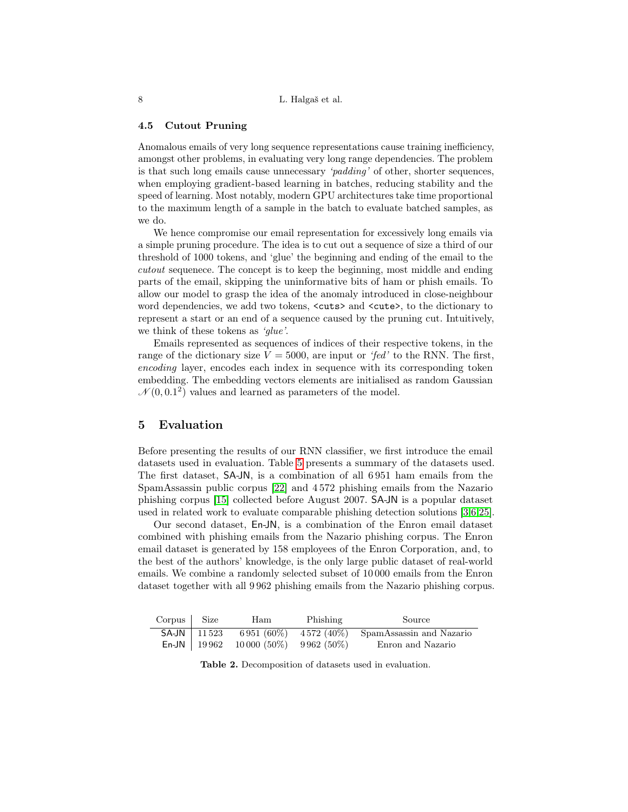#### 4.5 Cutout Pruning

Anomalous emails of very long sequence representations cause training inefficiency, amongst other problems, in evaluating very long range dependencies. The problem is that such long emails cause unnecessary 'padding' of other, shorter sequences, when employing gradient-based learning in batches, reducing stability and the speed of learning. Most notably, modern GPU architectures take time proportional to the maximum length of a sample in the batch to evaluate batched samples, as we do.

We hence compromise our email representation for excessively long emails via a simple pruning procedure. The idea is to cut out a sequence of size a third of our threshold of 1000 tokens, and 'glue' the beginning and ending of the email to the cutout sequenece. The concept is to keep the beginning, most middle and ending parts of the email, skipping the uninformative bits of ham or phish emails. To allow our model to grasp the idea of the anomaly introduced in close-neighbour word dependencies, we add two tokens,  $\langle \text{cuts} \rangle$  and  $\langle \text{cuts} \rangle$ , to the dictionary to represent a start or an end of a sequence caused by the pruning cut. Intuitively, we think of these tokens as 'glue'.

Emails represented as sequences of indices of their respective tokens, in the range of the dictionary size  $V = 5000$ , are input or 'fed' to the RNN. The first, encoding layer, encodes each index in sequence with its corresponding token embedding. The embedding vectors elements are initialised as random Gaussian  $\mathcal{N}(0, 0.1^2)$  values and learned as parameters of the model.

#### 5 Evaluation

Before presenting the results of our RNN classifier, we first introduce the email datasets used in evaluation. Table 5 presents a summary of the datasets used. The first dataset, SA-JN, is a combination of all 6 951 ham emails from the SpamAssassin public corpus [22] and 4 572 phishing emails from the Nazario phishing corpus [15] collected before August 2007. SA-JN is a popular dataset used in related work to evaluate comparable phishing detection solutions [3,6,25].

Our second dataset, En-JN, is a combination of the Enron email dataset combined with phishing emails from the Nazario phishing corpus. The Enron email dataset is generated by 158 employees of the Enron Corporation, and, to the best of the authors' knowledge, is the only large public dataset of real-world emails. We combine a randomly selected subset of 10 000 emails from the Enron dataset together with all 9 962 phishing emails from the Nazario phishing corpus.

| $Corpus$ $Size$ | Ham                                     | Phishing | Source                                                              |
|-----------------|-----------------------------------------|----------|---------------------------------------------------------------------|
|                 |                                         |          | <b>SA-JN</b>   11523 6951 (60%) 4572 (40%) SpamAssassin and Nazario |
|                 | En-JN   19 962 10 000 (50%) 9 962 (50%) |          | Enron and Nazario                                                   |

Table 2. Decomposition of datasets used in evaluation.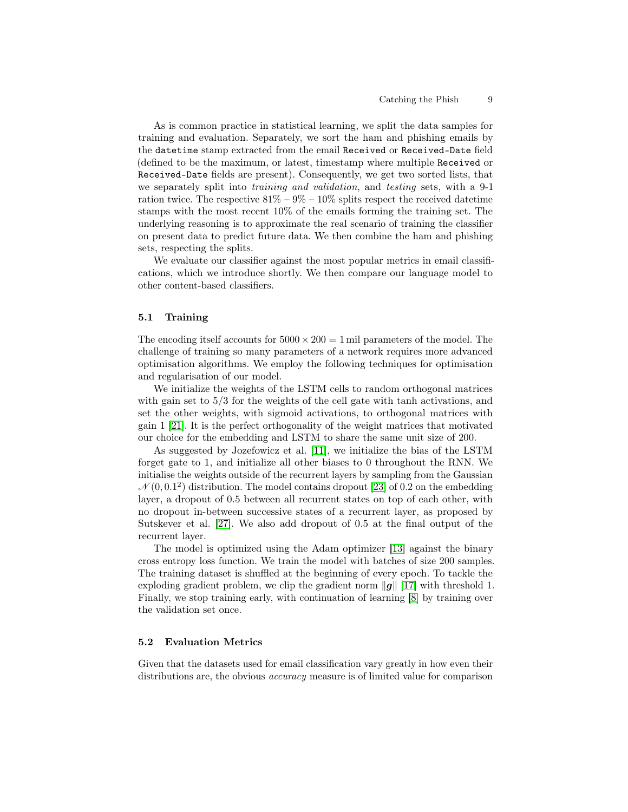As is common practice in statistical learning, we split the data samples for training and evaluation. Separately, we sort the ham and phishing emails by the datetime stamp extracted from the email Received or Received-Date field (defined to be the maximum, or latest, timestamp where multiple Received or Received-Date fields are present). Consequently, we get two sorted lists, that we separately split into training and validation, and testing sets, with a 9-1 ration twice. The respective  $81\% - 9\% - 10\%$  splits respect the received datetime stamps with the most recent 10% of the emails forming the training set. The underlying reasoning is to approximate the real scenario of training the classifier on present data to predict future data. We then combine the ham and phishing sets, respecting the splits.

We evaluate our classifier against the most popular metrics in email classifications, which we introduce shortly. We then compare our language model to other content-based classifiers.

#### 5.1 Training

The encoding itself accounts for  $5000 \times 200 = 1$  mil parameters of the model. The challenge of training so many parameters of a network requires more advanced optimisation algorithms. We employ the following techniques for optimisation and regularisation of our model.

We initialize the weights of the LSTM cells to random orthogonal matrices with gain set to  $5/3$  for the weights of the cell gate with tanh activations, and set the other weights, with sigmoid activations, to orthogonal matrices with gain 1 [21]. It is the perfect orthogonality of the weight matrices that motivated our choice for the embedding and LSTM to share the same unit size of 200.

As suggested by Jozefowicz et al. [11], we initialize the bias of the LSTM forget gate to 1, and initialize all other biases to 0 throughout the RNN. We initialise the weights outside of the recurrent layers by sampling from the Gaussian  $\mathcal{N}(0, 0.1^2)$  distribution. The model contains dropout [23] of 0.2 on the embedding layer, a dropout of 0.5 between all recurrent states on top of each other, with no dropout in-between successive states of a recurrent layer, as proposed by Sutskever et al. [27]. We also add dropout of 0.5 at the final output of the recurrent layer.

The model is optimized using the Adam optimizer [13] against the binary cross entropy loss function. We train the model with batches of size 200 samples. The training dataset is shuffled at the beginning of every epoch. To tackle the exploding gradient problem, we clip the gradient norm  $\|g\|$  [17] with threshold 1. Finally, we stop training early, with continuation of learning [8] by training over the validation set once.

#### 5.2 Evaluation Metrics

Given that the datasets used for email classification vary greatly in how even their distributions are, the obvious *accuracy* measure is of limited value for comparison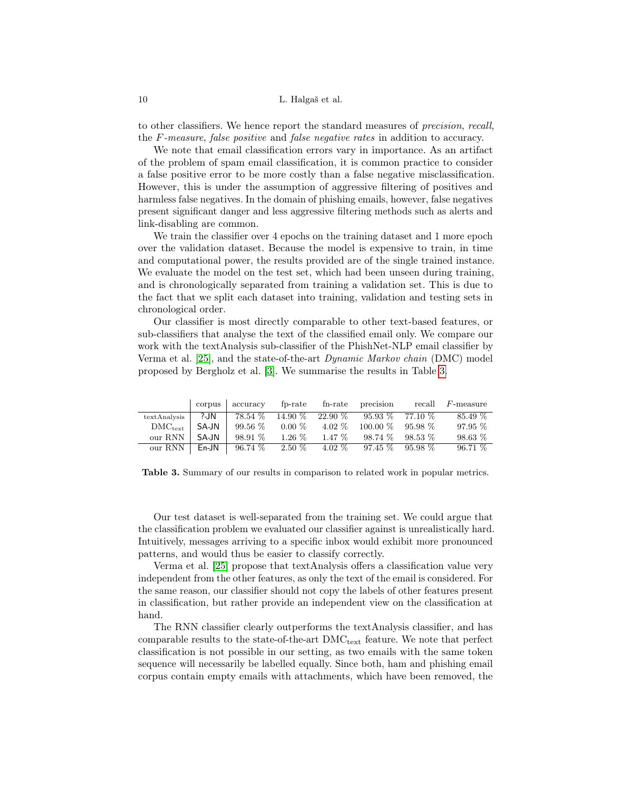to other classifiers. We hence report the standard measures of precision, recall, the F-measure, false positive and false negative rates in addition to accuracy.

We note that email classification errors vary in importance. As an artifact of the problem of spam email classification, it is common practice to consider a false positive error to be more costly than a false negative misclassification. However, this is under the assumption of aggressive filtering of positives and harmless false negatives. In the domain of phishing emails, however, false negatives present significant danger and less aggressive filtering methods such as alerts and link-disabling are common.

We train the classifier over 4 epochs on the training dataset and 1 more epoch over the validation dataset. Because the model is expensive to train, in time and computational power, the results provided are of the single trained instance. We evaluate the model on the test set, which had been unseen during training, and is chronologically separated from training a validation set. This is due to the fact that we split each dataset into training, validation and testing sets in chronological order.

Our classifier is most directly comparable to other text-based features, or sub-classifiers that analyse the text of the classified email only. We compare our work with the textAnalysis sub-classifier of the PhishNet-NLP email classifier by Verma et al. [25], and the state-of-the-art Dynamic Markov chain (DMC) model proposed by Bergholz et al. [3]. We summarise the results in Table 3.

|              | corpus   | accuracy  | fp-rate   | $fn$ -rate | precision         | recall    | $F$ -measure |
|--------------|----------|-----------|-----------|------------|-------------------|-----------|--------------|
| textAnalysis | ?-JN     | 78.54 %   | $14.90\%$ | 22.90 %    | $95.93\%$ 77.10 % |           | 85.49 %      |
| $DMC_{text}$ | $SA$ -JN | $99.56\%$ | $0.00\%$  | $4.02\%$   | $100.00\%$        | 95.98 %   | $97.95\%$    |
| our RNN      | SA-JN    | 98.91%    | $1.26\%$  | $1.47\%$   | $98.74\%$         | $98.53\%$ | $98.63\%$    |
| our RNN      | $En-JN$  | $96.74\%$ | $2.50\%$  | $4.02\%$   | $97.45\%$         | 95.98 %   | 96.71%       |

Table 3. Summary of our results in comparison to related work in popular metrics.

Our test dataset is well-separated from the training set. We could argue that the classification problem we evaluated our classifier against is unrealistically hard. Intuitively, messages arriving to a specific inbox would exhibit more pronounced patterns, and would thus be easier to classify correctly.

Verma et al. [25] propose that textAnalysis offers a classification value very independent from the other features, as only the text of the email is considered. For the same reason, our classifier should not copy the labels of other features present in classification, but rather provide an independent view on the classification at hand.

The RNN classifier clearly outperforms the textAnalysis classifier, and has comparable results to the state-of-the-art  $DMC_{text}$  feature. We note that perfect classification is not possible in our setting, as two emails with the same token sequence will necessarily be labelled equally. Since both, ham and phishing email corpus contain empty emails with attachments, which have been removed, the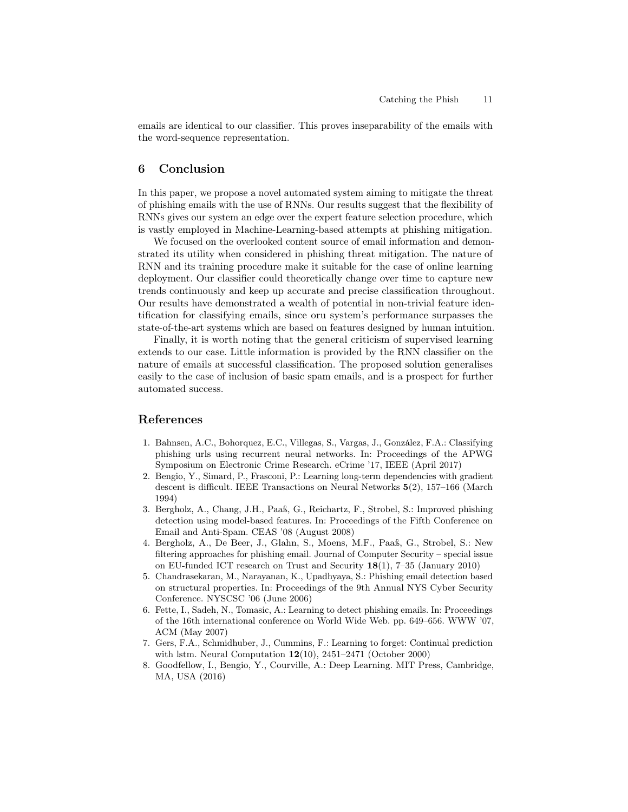emails are identical to our classifier. This proves inseparability of the emails with the word-sequence representation.

#### 6 Conclusion

In this paper, we propose a novel automated system aiming to mitigate the threat of phishing emails with the use of RNNs. Our results suggest that the flexibility of RNNs gives our system an edge over the expert feature selection procedure, which is vastly employed in Machine-Learning-based attempts at phishing mitigation.

We focused on the overlooked content source of email information and demonstrated its utility when considered in phishing threat mitigation. The nature of RNN and its training procedure make it suitable for the case of online learning deployment. Our classifier could theoretically change over time to capture new trends continuously and keep up accurate and precise classification throughout. Our results have demonstrated a wealth of potential in non-trivial feature identification for classifying emails, since oru system's performance surpasses the state-of-the-art systems which are based on features designed by human intuition.

Finally, it is worth noting that the general criticism of supervised learning extends to our case. Little information is provided by the RNN classifier on the nature of emails at successful classification. The proposed solution generalises easily to the case of inclusion of basic spam emails, and is a prospect for further automated success.

#### References

- 1. Bahnsen, A.C., Bohorquez, E.C., Villegas, S., Vargas, J., González, F.A.: Classifying phishing urls using recurrent neural networks. In: Proceedings of the APWG Symposium on Electronic Crime Research. eCrime '17, IEEE (April 2017)
- 2. Bengio, Y., Simard, P., Frasconi, P.: Learning long-term dependencies with gradient descent is difficult. IEEE Transactions on Neural Networks 5(2), 157–166 (March 1994)
- 3. Bergholz, A., Chang, J.H., Paaß, G., Reichartz, F., Strobel, S.: Improved phishing detection using model-based features. In: Proceedings of the Fifth Conference on Email and Anti-Spam. CEAS '08 (August 2008)
- 4. Bergholz, A., De Beer, J., Glahn, S., Moens, M.F., Paaß, G., Strobel, S.: New filtering approaches for phishing email. Journal of Computer Security – special issue on EU-funded ICT research on Trust and Security 18(1), 7–35 (January 2010)
- 5. Chandrasekaran, M., Narayanan, K., Upadhyaya, S.: Phishing email detection based on structural properties. In: Proceedings of the 9th Annual NYS Cyber Security Conference. NYSCSC '06 (June 2006)
- 6. Fette, I., Sadeh, N., Tomasic, A.: Learning to detect phishing emails. In: Proceedings of the 16th international conference on World Wide Web. pp. 649–656. WWW '07, ACM (May 2007)
- 7. Gers, F.A., Schmidhuber, J., Cummins, F.: Learning to forget: Continual prediction with lstm. Neural Computation  $12(10)$ ,  $2451-2471$  (October 2000)
- 8. Goodfellow, I., Bengio, Y., Courville, A.: Deep Learning. MIT Press, Cambridge, MA, USA (2016)